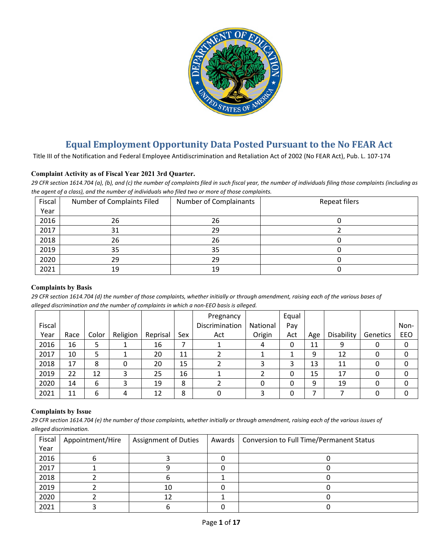

# **Equal Employment Opportunity Data Posted Pursuant to the No FEAR Act**

Title III of the Notification and Federal Employee Antidiscrimination and Retaliation Act of 2002 (No FEAR Act), Pub. L. 107-174

# **Complaint Activity as of Fiscal Year 2021 3rd Quarter.**

*29 CFR section 1614.704 (a), (b), and (c) the number of complaints filed in such fiscal year, the number of individuals filing those complaints (including as the agent of a class), and the number of individuals who filed two or more of those complaints.*

| Fiscal | Number of Complaints Filed | Number of Complainants | Repeat filers |
|--------|----------------------------|------------------------|---------------|
| Year   |                            |                        |               |
| 2016   | 26                         | 26                     |               |
| 2017   | 31                         | 29                     |               |
| 2018   | 26                         | 26                     |               |
| 2019   | 35                         | 35                     |               |
| 2020   | 29                         | 29                     |               |
| 2021   | 19                         | 19                     |               |

#### **Complaints by Basis**

*29 CFR section 1614.704 (d) the number of those complaints, whether initially or through amendment, raising each of the various bases of alleged discrimination and the number of complaints in which a non-EEO basis is alleged.*

|        |      |       |          |          |     | Pregnancy      |          | Equal |     |            |          |      |
|--------|------|-------|----------|----------|-----|----------------|----------|-------|-----|------------|----------|------|
| Fiscal |      |       |          |          |     | Discrimination | National | Pay   |     |            |          | Non- |
| Year   | Race | Color | Religion | Reprisal | Sex | Act            | Origin   | Act   | Age | Disability | Genetics | EEO  |
| 2016   | 16   |       |          | 16       |     |                | 4        | 0     | 11  | 9          |          | 0    |
| 2017   | 10   |       |          | 20       | 11  |                |          |       | 9   | 12         |          | 0    |
| 2018   | 17   | 8     |          | 20       | 15  |                |          | 3     | 13  | 11         |          | 0    |
| 2019   | 22   | 12    |          | 25       | 16  |                |          | 0     | 15  | 17         |          | 0    |
| 2020   | 14   | 6     |          | 19       | 8   |                |          | 0     | 9   | 19         |          | 0    |
| 2021   | 11   | 6     | 4        | 12       | 8   |                |          | 0     |     |            |          | 0    |

#### **Complaints by Issue**

*29 CFR section 1614.704 (e) the number of those complaints, whether initially or through amendment, raising each of the various issues of alleged discrimination.*

| Fiscal | Appointment/Hire | <b>Assignment of Duties</b> | Awards | <b>Conversion to Full Time/Permanent Status</b> |
|--------|------------------|-----------------------------|--------|-------------------------------------------------|
| Year   |                  |                             |        |                                                 |
| 2016   |                  |                             |        |                                                 |
| 2017   |                  |                             |        |                                                 |
| 2018   |                  |                             |        |                                                 |
| 2019   |                  | 10                          |        |                                                 |
| 2020   |                  |                             |        |                                                 |
| 2021   |                  |                             |        |                                                 |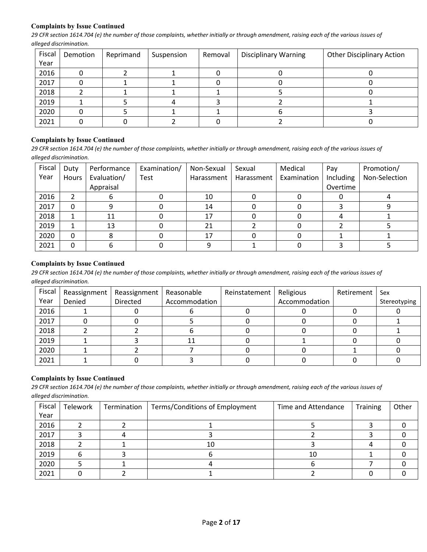## **Complaints by Issue Continued**

*29 CFR section 1614.704 (e) the number of those complaints, whether initially or through amendment, raising each of the various issues of alleged discrimination.*

| Fiscal | Demotion | Reprimand | Suspension | Removal | <b>Disciplinary Warning</b> | <b>Other Disciplinary Action</b> |
|--------|----------|-----------|------------|---------|-----------------------------|----------------------------------|
| Year   |          |           |            |         |                             |                                  |
| 2016   |          |           |            |         |                             |                                  |
| 2017   |          |           |            |         |                             |                                  |
| 2018   |          |           |            |         |                             |                                  |
| 2019   |          |           |            |         |                             |                                  |
| 2020   |          |           |            |         |                             |                                  |
| 2021   |          |           |            |         |                             |                                  |

## **Complaints by Issue Continued**

*29 CFR section 1614.704 (e) the number of those complaints, whether initially or through amendment, raising each of the various issues of alleged discrimination.*

| Fiscal | Duty  | Performance | Examination/ | Non-Sexual | Sexual     | Medical     | Pay       | Promotion/    |
|--------|-------|-------------|--------------|------------|------------|-------------|-----------|---------------|
| Year   | Hours | Evaluation/ | Test         | Harassment | Harassment | Examination | Including | Non-Selection |
|        |       | Appraisal   |              |            |            |             | Overtime  |               |
| 2016   |       |             |              | 10         |            |             |           |               |
| 2017   |       |             |              | 14         |            |             |           |               |
| 2018   |       | 11          |              | 17         |            |             |           |               |
| 2019   |       | 13          |              | 21         |            |             |           |               |
| 2020   | 0     |             |              | 17         |            |             |           |               |
| 2021   |       |             |              |            |            |             |           |               |

#### **Complaints by Issue Continued**

*29 CFR section 1614.704 (e) the number of those complaints, whether initially or through amendment, raising each of the various issues of alleged discrimination.*

| Fiscal | Reassignment | Reassignment   Reasonable |               | Reinstatement | Religious     | Retirement | Sex          |
|--------|--------------|---------------------------|---------------|---------------|---------------|------------|--------------|
| Year   | Denied       | Directed                  | Accommodation |               | Accommodation |            | Stereotyping |
| 2016   |              |                           |               |               |               |            |              |
| 2017   |              |                           |               |               |               |            |              |
| 2018   |              |                           |               |               |               |            |              |
| 2019   |              |                           | 11            |               |               |            |              |
| 2020   |              |                           |               |               |               |            |              |
| 2021   |              |                           |               |               |               |            |              |

# **Complaints by Issue Continued**

*29 CFR section 1614.704 (e) the number of those complaints, whether initially or through amendment, raising each of the various issues of alleged discrimination.*

| Fiscal | Telework | Termination | Terms/Conditions of Employment | Time and Attendance | <b>Training</b> | Other |
|--------|----------|-------------|--------------------------------|---------------------|-----------------|-------|
| Year   |          |             |                                |                     |                 |       |
| 2016   |          |             |                                |                     |                 |       |
| 2017   |          |             |                                |                     |                 |       |
| 2018   |          |             | 10                             |                     |                 |       |
| 2019   |          |             |                                | 10                  |                 |       |
| 2020   |          |             |                                |                     |                 |       |
| 2021   |          |             |                                |                     |                 |       |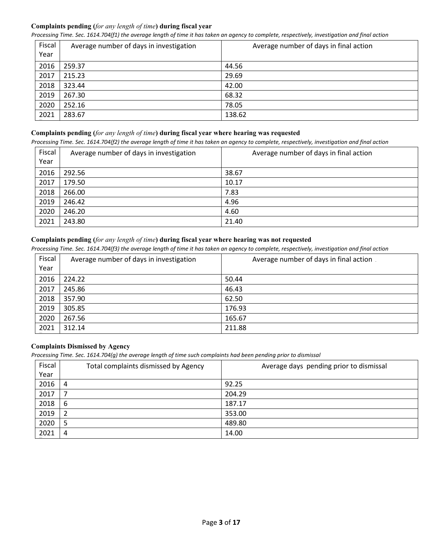# **Complaints pending (***for any length of time***) during fiscal year**

*Processing Time. Sec. 1614.704(f1) the average length of time it has taken an agency to complete, respectively, investigation and final action*

| Fiscal<br>Year | Average number of days in investigation | Average number of days in final action |
|----------------|-----------------------------------------|----------------------------------------|
| 2016           | 259.37                                  | 44.56                                  |
| 2017           | 215.23                                  | 29.69                                  |
| 2018           | 323.44                                  | 42.00                                  |
| 2019           | 267.30                                  | 68.32                                  |
| 2020           | 252.16                                  | 78.05                                  |
| 2021           | 283.67                                  | 138.62                                 |

## **Complaints pending (***for any length of time***) during fiscal year where hearing was requested**

*Processing Time. Sec. 1614.704(f2) the average length of time it has taken an agency to complete, respectively, investigation and final action*

| Fiscal<br>Year | Average number of days in investigation | Average number of days in final action |
|----------------|-----------------------------------------|----------------------------------------|
| 2016           | 292.56                                  | 38.67                                  |
| 2017           | 179.50                                  | 10.17                                  |
| 2018           | 266.00                                  | 7.83                                   |
| 2019           | 246.42                                  | 4.96                                   |
| 2020           | 246.20                                  | 4.60                                   |
| 2021           | 243.80                                  | 21.40                                  |

# **Complaints pending (***for any length of time***) during fiscal year where hearing was not requested**

*Processing Time. Sec. 1614.704(f3) the average length of time it has taken an agency to complete, respectively, investigation and final action*

| Fiscal | Average number of days in investigation | Average number of days in final action. |
|--------|-----------------------------------------|-----------------------------------------|
| Year   |                                         |                                         |
| 2016   | 224.22                                  | 50.44                                   |
| 2017   | 245.86                                  | 46.43                                   |
| 2018   | 357.90                                  | 62.50                                   |
| 2019   | 305.85                                  | 176.93                                  |
| 2020   | 267.56                                  | 165.67                                  |
| 2021   | 312.14                                  | 211.88                                  |

# **Complaints Dismissed by Agency**

*Processing Time. Sec. 1614.704(g) the average length of time such complaints had been pending prior to dismissal*

| Fiscal | Total complaints dismissed by Agency | Average days pending prior to dismissal |
|--------|--------------------------------------|-----------------------------------------|
| Year   |                                      |                                         |
| 2016   | 4                                    | 92.25                                   |
| 2017   |                                      | 204.29                                  |
| 2018   | 6                                    | 187.17                                  |
| 2019   | 2                                    | 353.00                                  |
| 2020   | 5                                    | 489.80                                  |
| 2021   | 4                                    | 14.00                                   |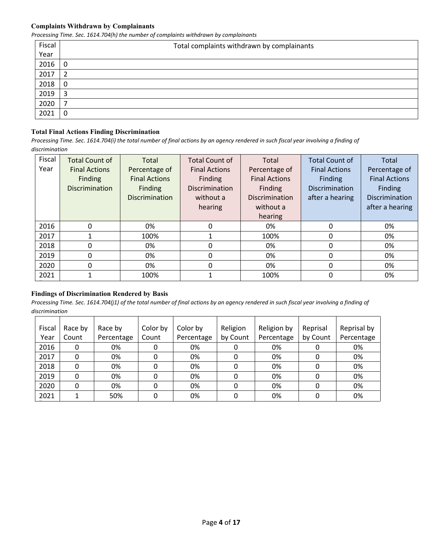#### **Complaints Withdrawn by Complainants**

*Processing Time. Sec. 1614.704(h) the number of complaints withdrawn by complainants*

| Fiscal | Total complaints withdrawn by complainants |
|--------|--------------------------------------------|
| Year   |                                            |
| 2016   | 0                                          |
| 2017   | 2                                          |
| 2018   | 0                                          |
| 2019   | 3                                          |
| 2020   | ⇁                                          |
| 2021   | 0                                          |

# **Total Final Actions Finding Discrimination**

*Processing Time. Sec. 1614.704(i) the total number of final actions by an agency rendered in such fiscal year involving a finding of discrimination* 

| Fiscal | <b>Total Count of</b> | Total                 | <b>Total Count of</b> | Total                 | <b>Total Count of</b> | Total                 |
|--------|-----------------------|-----------------------|-----------------------|-----------------------|-----------------------|-----------------------|
| Year   | <b>Final Actions</b>  | Percentage of         | <b>Final Actions</b>  | Percentage of         | <b>Final Actions</b>  | Percentage of         |
|        | Finding               | <b>Final Actions</b>  | Finding               | <b>Final Actions</b>  | Finding               | <b>Final Actions</b>  |
|        | <b>Discrimination</b> | Finding               | <b>Discrimination</b> | Finding               | <b>Discrimination</b> | <b>Finding</b>        |
|        |                       | <b>Discrimination</b> | without a             | <b>Discrimination</b> | after a hearing       | <b>Discrimination</b> |
|        |                       |                       | hearing               | without a             |                       | after a hearing       |
|        |                       |                       |                       | hearing               |                       |                       |
| 2016   | 0                     | 0%                    | 0                     | 0%                    | 0                     | 0%                    |
| 2017   |                       | 100%                  |                       | 100%                  | 0                     | 0%                    |
| 2018   | 0                     | 0%                    | 0                     | 0%                    | $\mathbf{0}$          | 0%                    |
| 2019   | 0                     | 0%                    | 0                     | 0%                    | $\Omega$              | 0%                    |
| 2020   | 0                     | 0%                    | 0                     | 0%                    | 0                     | 0%                    |
| 2021   |                       | 100%                  |                       | 100%                  | 0                     | 0%                    |

#### **Findings of Discrimination Rendered by Basis**

| Fiscal | Race by | Race by    | Color by | Color by   | Religion | Religion by | Reprisal | Reprisal by |
|--------|---------|------------|----------|------------|----------|-------------|----------|-------------|
| Year   | Count   | Percentage | Count    | Percentage | by Count | Percentage  | by Count | Percentage  |
| 2016   | 0       | 0%         |          | 0%         |          | 0%          |          | 0%          |
| 2017   | 0       | 0%         |          | 0%         |          | 0%          |          | 0%          |
| 2018   |         | 0%         |          | 0%         |          | 0%          | 0        | 0%          |
| 2019   | 0       | 0%         |          | 0%         | 0        | 0%          |          | 0%          |
| 2020   | 0       | 0%         |          | 0%         | 0        | 0%          | 0        | 0%          |
| 2021   |         | 50%        |          | 0%         |          | 0%          |          | 0%          |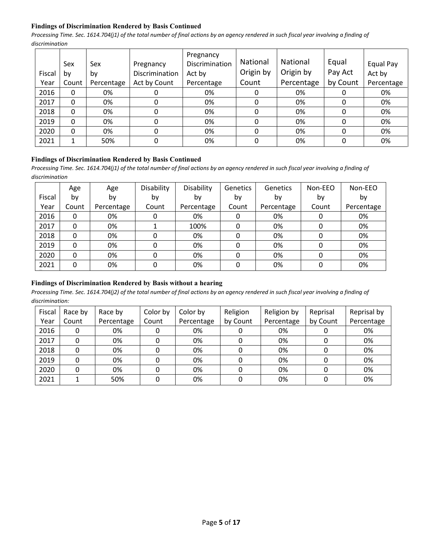## **Findings of Discrimination Rendered by Basis Continued**

*Processing Time. Sec. 1614.704(j1) of the total number of final actions by an agency rendered in such fiscal year involving a finding of discrimination* 

| Fiscal | Sex<br>b٧ | Sex<br>by  | Pregnancy<br>Discrimination | Pregnancy<br>Discrimination<br>Act by | <b>National</b><br>Origin by | National<br>Origin by | Equal<br>Pay Act | Equal Pay<br>Act by |
|--------|-----------|------------|-----------------------------|---------------------------------------|------------------------------|-----------------------|------------------|---------------------|
| Year   | Count     | Percentage | Act by Count                | Percentage                            | Count                        | Percentage            | by Count         | Percentage          |
| 2016   | 0         | 0%         | O                           | 0%                                    | 0                            | 0%                    |                  | 0%                  |
| 2017   | 0         | 0%         | 0                           | 0%                                    | 0                            | 0%                    | 0                | 0%                  |
| 2018   | 0         | 0%         | 0                           | 0%                                    | 0                            | 0%                    | 0                | 0%                  |
| 2019   | 0         | 0%         | 0                           | 0%                                    | 0                            | 0%                    | 0                | 0%                  |
| 2020   | 0         | 0%         | 0                           | 0%                                    | 0                            | 0%                    | 0                | 0%                  |
| 2021   |           | 50%        | 0                           | 0%                                    | 0                            | 0%                    | 0                | 0%                  |

# **Findings of Discrimination Rendered by Basis Continued**

Processing Time. Sec. 1614.704(j1) of the total number of final actions by an agency rendered in such fiscal year involving a finding of *discrimination* 

|        | Age   | Age        | Disability | Disability | <b>Genetics</b> | Genetics   | Non-EEO | Non-EEO    |
|--------|-------|------------|------------|------------|-----------------|------------|---------|------------|
| Fiscal | by    | by         | by         | by         | by              | by         | by      | by         |
| Year   | Count | Percentage | Count      | Percentage | Count           | Percentage | Count   | Percentage |
| 2016   | 0     | 0%         | 0          | 0%         | 0               | 0%         | 0       | 0%         |
| 2017   | 0     | 0%         |            | 100%       | 0               | 0%         | 0       | 0%         |
| 2018   | 0     | 0%         | 0          | 0%         | 0               | 0%         | 0       | 0%         |
| 2019   | 0     | 0%         | 0          | 0%         | 0               | 0%         | 0       | 0%         |
| 2020   | 0     | 0%         | 0          | 0%         | 0               | 0%         | 0       | 0%         |
| 2021   | 0     | 0%         | 0          | 0%         | 0               | 0%         | 0       | 0%         |

# **Findings of Discrimination Rendered by Basis without a hearing**

| Fiscal | Race by | Race by    | Color by | Color by   | Religion | Religion by | Reprisal | Reprisal by |
|--------|---------|------------|----------|------------|----------|-------------|----------|-------------|
| Year   | Count   | Percentage | Count    | Percentage | by Count | Percentage  | by Count | Percentage  |
| 2016   |         | 0%         |          | 0%         |          | 0%          |          | 0%          |
| 2017   |         | 0%         |          | 0%         |          | 0%          |          | 0%          |
| 2018   |         | 0%         |          | 0%         |          | 0%          |          | 0%          |
| 2019   |         | 0%         |          | 0%         |          | 0%          |          | 0%          |
| 2020   | 0       | 0%         |          | 0%         |          | 0%          |          | 0%          |
| 2021   |         | 50%        |          | 0%         |          | 0%          |          | 0%          |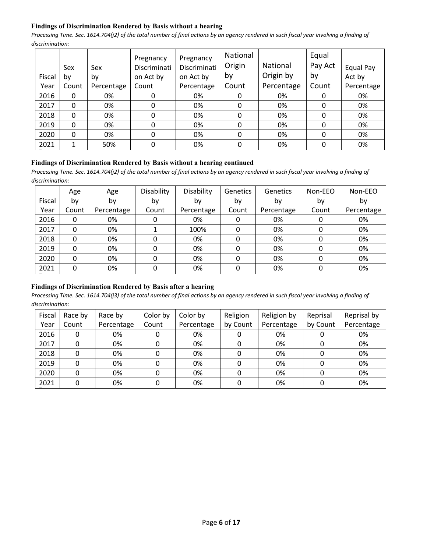## **Findings of Discrimination Rendered by Basis without a hearing**

*Processing Time. Sec. 1614.704(j2) of the total number of final actions by an agency rendered in such fiscal year involving a finding of discrimination:* 

|        | Sex      | Sex        | Pregnancy<br>Discriminati | Pregnancy<br>Discriminati | National<br>Origin | National   | Equal<br>Pay Act | Equal Pay  |
|--------|----------|------------|---------------------------|---------------------------|--------------------|------------|------------------|------------|
| Fiscal | by       | by         | on Act by                 | on Act by                 | by                 | Origin by  | by               | Act by     |
| Year   | Count    | Percentage | Count                     | Percentage                | Count              | Percentage | Count            | Percentage |
| 2016   | 0        | 0%         |                           | 0%                        |                    | 0%         | 0                | 0%         |
| 2017   | $\Omega$ | 0%         | 0                         | 0%                        | 0                  | 0%         | 0                | 0%         |
| 2018   | 0        | 0%         | 0                         | 0%                        | 0                  | 0%         | 0                | 0%         |
| 2019   | $\Omega$ | 0%         | 0                         | 0%                        | 0                  | 0%         | 0                | 0%         |
| 2020   | $\Omega$ | 0%         | 0                         | 0%                        | 0                  | 0%         | $\Omega$         | 0%         |
| 2021   | 1        | 50%        | 0                         | 0%                        | 0                  | 0%         | 0                | 0%         |

#### **Findings of Discrimination Rendered by Basis without a hearing continued**

*Processing Time. Sec. 1614.704(j2) of the total number of final actions by an agency rendered in such fiscal year involving a finding of discrimination:* 

|        | Age   | Age        | Disability | Disability | Genetics | Genetics   | Non-EEO | Non-EEO    |
|--------|-------|------------|------------|------------|----------|------------|---------|------------|
| Fiscal | b٧    | by         | by         | bv         | by       | by         | by      | by         |
| Year   | Count | Percentage | Count      | Percentage | Count    | Percentage | Count   | Percentage |
| 2016   | 0     | 0%         |            | 0%         | 0        | 0%         |         | 0%         |
| 2017   | 0     | 0%         |            | 100%       |          | 0%         |         | 0%         |
| 2018   | 0     | 0%         |            | 0%         |          | 0%         |         | 0%         |
| 2019   | 0     | 0%         |            | 0%         |          | 0%         |         | 0%         |
| 2020   | 0     | 0%         |            | 0%         |          | 0%         |         | 0%         |
| 2021   | 0     | 0%         | O          | 0%         | 0        | 0%         |         | 0%         |

## **Findings of Discrimination Rendered by Basis after a hearing**

| Fiscal | Race by | Race by    | Color by | Color by   | Religion | Religion by | Reprisal | Reprisal by |
|--------|---------|------------|----------|------------|----------|-------------|----------|-------------|
| Year   | Count   | Percentage | Count    | Percentage | by Count | Percentage  | by Count | Percentage  |
| 2016   | 0       | 0%         |          | 0%         |          | 0%          |          | 0%          |
| 2017   | 0       | 0%         |          | 0%         |          | 0%          |          | 0%          |
| 2018   | 0       | 0%         |          | 0%         |          | 0%          |          | 0%          |
| 2019   |         | 0%         |          | 0%         |          | 0%          |          | 0%          |
| 2020   |         | 0%         |          | 0%         |          | 0%          |          | 0%          |
| 2021   |         | 0%         |          | 0%         |          | 0%          |          | 0%          |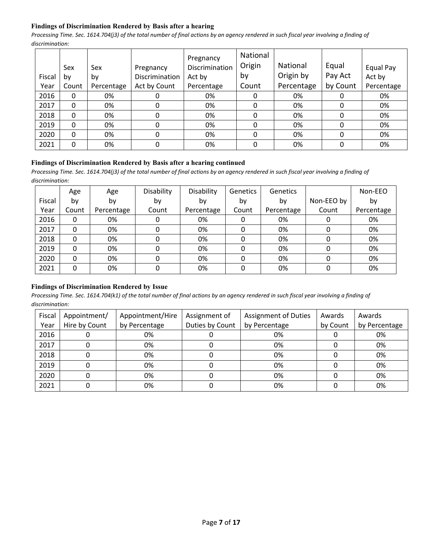# **Findings of Discrimination Rendered by Basis after a hearing**

*Processing Time. Sec. 1614.704(j3) of the total number of final actions by an agency rendered in such fiscal year involving a finding of discrimination:* 

|        | Sex   | Sex        | Pregnancy      | Pregnancy<br>Discrimination | National<br>Origin | National   | Equal    | Equal Pay  |
|--------|-------|------------|----------------|-----------------------------|--------------------|------------|----------|------------|
| Fiscal | bv    | by         | Discrimination | Act by                      | by                 | Origin by  | Pay Act  | Act by     |
| Year   | Count | Percentage | Act by Count   | Percentage                  | Count              | Percentage | by Count | Percentage |
| 2016   | 0     | 0%         | 0              | 0%                          | 0                  | 0%         | 0        | 0%         |
| 2017   | 0     | 0%         | 0              | 0%                          | 0                  | 0%         | 0        | 0%         |
| 2018   | 0     | 0%         | 0              | 0%                          | 0                  | 0%         | 0        | 0%         |
| 2019   | 0     | 0%         | 0              | 0%                          | 0                  | 0%         | 0        | 0%         |
| 2020   | 0     | 0%         | 0              | 0%                          | 0                  | 0%         | 0        | 0%         |
| 2021   | 0     | 0%         | 0              | 0%                          | 0                  | 0%         | 0        | 0%         |

#### **Findings of Discrimination Rendered by Basis after a hearing continued**

*Processing Time. Sec. 1614.704(j3) of the total number of final actions by an agency rendered in such fiscal year involving a finding of discrimination:* 

|        | Age   | Age        | Disability | Disability | <b>Genetics</b> | <b>Genetics</b> |            | Non-EEO    |
|--------|-------|------------|------------|------------|-----------------|-----------------|------------|------------|
| Fiscal | b٧    | by         | by         | bv         | by              | by              | Non-EEO by | by         |
| Year   | Count | Percentage | Count      | Percentage | Count           | Percentage      | Count      | Percentage |
| 2016   | 0     | 0%         | 0          | 0%         | 0               | 0%              | 0          | 0%         |
| 2017   | 0     | 0%         | 0          | 0%         | 0               | 0%              | 0          | 0%         |
| 2018   | 0     | 0%         | 0          | 0%         | 0               | 0%              | 0          | 0%         |
| 2019   | 0     | 0%         | 0          | 0%         | 0               | 0%              | 0          | 0%         |
| 2020   | 0     | 0%         | 0          | 0%         | 0               | 0%              | 0          | 0%         |
| 2021   | 0     | 0%         | 0          | 0%         | $\Omega$        | 0%              | 0          | 0%         |

#### **Findings of Discrimination Rendered by Issue**

| Fiscal<br>Year | Appointment/<br>Hire by Count | Appointment/Hire<br>by Percentage | Assignment of<br>Duties by Count | <b>Assignment of Duties</b><br>by Percentage | Awards<br>by Count | Awards<br>by Percentage |
|----------------|-------------------------------|-----------------------------------|----------------------------------|----------------------------------------------|--------------------|-------------------------|
|                |                               |                                   |                                  |                                              |                    |                         |
| 2016           |                               | 0%                                |                                  | 0%                                           |                    | 0%                      |
| 2017           |                               | 0%                                |                                  | 0%                                           |                    | 0%                      |
| 2018           |                               | 0%                                |                                  | 0%                                           |                    | 0%                      |
| 2019           |                               | 0%                                |                                  | 0%                                           |                    | 0%                      |
| 2020           |                               | 0%                                |                                  | 0%                                           |                    | 0%                      |
| 2021           |                               | 0%                                |                                  | 0%                                           |                    | 0%                      |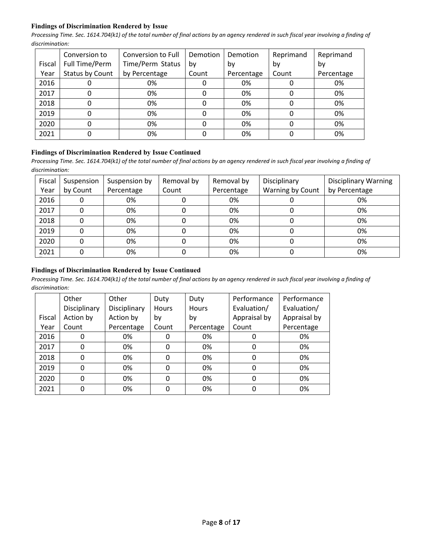## **Findings of Discrimination Rendered by Issue**

*Processing Time. Sec. 1614.704(k1) of the total number of final actions by an agency rendered in such fiscal year involving a finding of discrimination:* 

|        | Conversion to   | Conversion to Full | Demotion | Demotion   | Reprimand | Reprimand  |
|--------|-----------------|--------------------|----------|------------|-----------|------------|
|        |                 |                    |          |            |           |            |
| Fiscal | Full Time/Perm  | Time/Perm Status   | bv       | bv         | bv        | bv         |
| Year   | Status by Count | by Percentage      | Count    | Percentage | Count     | Percentage |
| 2016   | O               | 0%                 |          | 0%         |           | 0%         |
| 2017   | 0               | 0%                 | 0        | 0%         | 0         | 0%         |
| 2018   | 0               | 0%                 |          | 0%         | 0         | 0%         |
| 2019   | 0               | 0%                 |          | 0%         | O         | 0%         |
| 2020   | 0               | 0%                 |          | 0%         | 0         | 0%         |
| 2021   | 0               | 0%                 |          | 0%         |           | 0%         |

#### **Findings of Discrimination Rendered by Issue Continued**

*Processing Time. Sec. 1614.704(k1) of the total number of final actions by an agency rendered in such fiscal year involving a finding of discrimination:* 

| Fiscal | Suspension | Suspension by | Removal by | Removal by | Disciplinary     | <b>Disciplinary Warning</b> |
|--------|------------|---------------|------------|------------|------------------|-----------------------------|
| Year   | by Count   | Percentage    | Count      | Percentage | Warning by Count | by Percentage               |
| 2016   |            | 0%            |            | 0%         |                  | 0%                          |
| 2017   |            | 0%            |            | 0%         |                  | 0%                          |
| 2018   |            | 0%            |            | 0%         |                  | 0%                          |
| 2019   |            | 0%            |            | 0%         |                  | 0%                          |
| 2020   |            | 0%            |            | 0%         |                  | 0%                          |
| 2021   |            | 0%            |            | 0%         |                  | 0%                          |

# **Findings of Discrimination Rendered by Issue Continued**

|        | Other        | Other        | Duty  | Duty         | Performance  | Performance  |
|--------|--------------|--------------|-------|--------------|--------------|--------------|
|        | Disciplinary | Disciplinary | Hours | <b>Hours</b> | Evaluation/  | Evaluation/  |
| Fiscal | Action by    | Action by    | by    | by           | Appraisal by | Appraisal by |
| Year   | Count        | Percentage   | Count | Percentage   | Count        | Percentage   |
| 2016   | 0            | 0%           | 0     | 0%           | 0            | 0%           |
| 2017   | $\mathbf{0}$ | 0%           | 0     | 0%           | 0            | 0%           |
| 2018   | 0            | 0%           | 0     | 0%           | 0            | 0%           |
| 2019   | 0            | 0%           | 0     | 0%           | 0            | 0%           |
| 2020   | 0            | 0%           | 0     | 0%           | 0            | 0%           |
| 2021   | 0            | 0%           |       | 0%           | 0            | 0%           |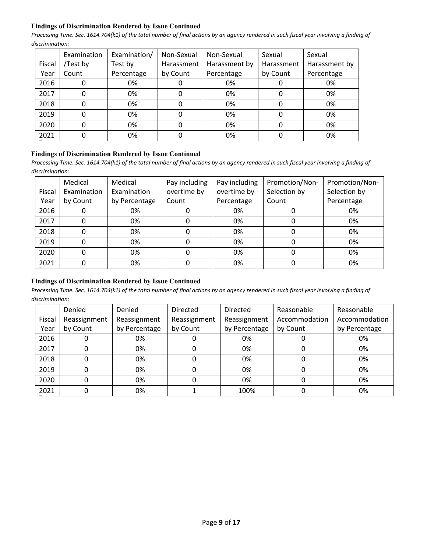## **Findings of Discrimination Rendered by Issue Continued**

*Processing Time. Sec. 1614.704(k1) of the total number of final actions by an agency rendered in such fiscal year involving a finding of discrimination:* 

|        | Examination | Examination/ | Non-Sexual | Non-Sexual    | Sexual     | Sexual        |
|--------|-------------|--------------|------------|---------------|------------|---------------|
| Fiscal | /Test by    | Test by      | Harassment | Harassment by | Harassment | Harassment by |
| Year   | Count       | Percentage   | by Count   | Percentage    | by Count   | Percentage    |
| 2016   |             | 0%           |            | 0%            |            | 0%            |
| 2017   |             | 0%           |            | 0%            |            | 0%            |
| 2018   |             | 0%           |            | 0%            |            | 0%            |
| 2019   |             | 0%           |            | 0%            |            | 0%            |
| 2020   |             | 0%           |            | 0%            |            | 0%            |
| 2021   |             | 0%           |            | 0%            |            | 0%            |

## **Findings of Discrimination Rendered by Issue Continued**

*Processing Time. Sec. 1614.704(k1) of the total number of final actions by an agency rendered in such fiscal year involving a finding of discrimination:* 

|        | Medical     | Medical       | Pay including | Pay including | Promotion/Non- | Promotion/Non- |
|--------|-------------|---------------|---------------|---------------|----------------|----------------|
| Fiscal | Examination | Examination   | overtime by   | overtime by   | Selection by   | Selection by   |
| Year   | by Count    | by Percentage | Count         | Percentage    | Count          | Percentage     |
| 2016   | 0           | 0%            |               | 0%            |                | 0%             |
| 2017   | 0           | 0%            |               | 0%            |                | 0%             |
| 2018   | 0           | 0%            |               | 0%            |                | 0%             |
| 2019   | 0           | 0%            |               | 0%            |                | 0%             |
| 2020   | 0           | 0%            |               | 0%            |                | 0%             |
| 2021   | 0           | 0%            |               | 0%            |                | 0%             |

# **Findings of Discrimination Rendered by Issue Continued**

|        | Denied       | Denied        | <b>Directed</b> | <b>Directed</b> | Reasonable    | Reasonable    |
|--------|--------------|---------------|-----------------|-----------------|---------------|---------------|
| Fiscal | Reassignment | Reassignment  | Reassignment    | Reassignment    | Accommodation | Accommodation |
| Year   | by Count     | by Percentage | by Count        | by Percentage   | by Count      | by Percentage |
| 2016   |              | 0%            |                 | 0%              |               | 0%            |
| 2017   |              | 0%            | 0               | 0%              |               | 0%            |
| 2018   |              | 0%            |                 | 0%              |               | 0%            |
| 2019   |              | 0%            |                 | 0%              |               | 0%            |
| 2020   |              | 0%            |                 | 0%              |               | 0%            |
| 2021   |              | 0%            |                 | 100%            |               | 0%            |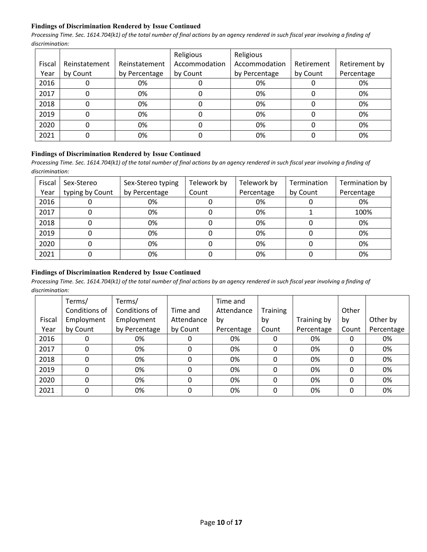## **Findings of Discrimination Rendered by Issue Continued**

*Processing Time. Sec. 1614.704(k1) of the total number of final actions by an agency rendered in such fiscal year involving a finding of discrimination:* 

|        |               |               | Religious     | Religious     |            |               |
|--------|---------------|---------------|---------------|---------------|------------|---------------|
| Fiscal | Reinstatement | Reinstatement | Accommodation | Accommodation | Retirement | Retirement by |
| Year   | by Count      | by Percentage | by Count      | by Percentage | by Count   | Percentage    |
| 2016   |               | 0%            |               | 0%            |            | 0%            |
| 2017   |               | 0%            |               | 0%            |            | 0%            |
| 2018   |               | 0%            |               | 0%            |            | 0%            |
| 2019   |               | 0%            |               | 0%            |            | 0%            |
| 2020   |               | 0%            |               | 0%            |            | 0%            |
| 2021   |               | 0%            |               | 0%            |            | 0%            |

#### **Findings of Discrimination Rendered by Issue Continued**

Processing Time. Sec. 1614.704(k1) of the total number of final actions by an agency rendered in such fiscal year involving a finding of *discrimination:* 

| Fiscal<br>Year | Sex-Stereo<br>typing by Count | Sex-Stereo typing<br>by Percentage | Telework by<br>Count | Telework by<br>Percentage | Termination<br>by Count | Termination by<br>Percentage |
|----------------|-------------------------------|------------------------------------|----------------------|---------------------------|-------------------------|------------------------------|
| 2016           |                               | 0%                                 |                      | 0%                        |                         | 0%                           |
| 2017           |                               | 0%                                 |                      | 0%                        |                         | 100%                         |
| 2018           |                               | 0%                                 |                      | 0%                        |                         | 0%                           |
| 2019           |                               | 0%                                 |                      | 0%                        |                         | 0%                           |
| 2020           |                               | 0%                                 |                      | 0%                        |                         | 0%                           |
| 2021           |                               | 0%                                 |                      | 0%                        |                         | 0%                           |

# **Findings of Discrimination Rendered by Issue Continued**

|        | Terms/        | Terms/        |            | Time and   |                 |             |       |            |
|--------|---------------|---------------|------------|------------|-----------------|-------------|-------|------------|
|        | Conditions of | Conditions of | Time and   | Attendance | <b>Training</b> |             | Other |            |
| Fiscal | Employment    | Employment    | Attendance | by         | by              | Training by | by    | Other by   |
| Year   | by Count      | by Percentage | by Count   | Percentage | Count           | Percentage  | Count | Percentage |
| 2016   | 0             | 0%            |            | 0%         |                 | 0%          | 0     | 0%         |
| 2017   | 0             | 0%            | 0          | 0%         | 0               | 0%          | 0     | 0%         |
| 2018   | 0             | 0%            | 0          | 0%         | 0               | 0%          | 0     | 0%         |
| 2019   | 0             | 0%            | 0          | 0%         | 0               | 0%          | 0     | 0%         |
| 2020   | 0             | 0%            | 0          | 0%         | 0               | 0%          | 0     | 0%         |
| 2021   | 0             | 0%            | 0          | 0%         | 0               | 0%          | 0     | 0%         |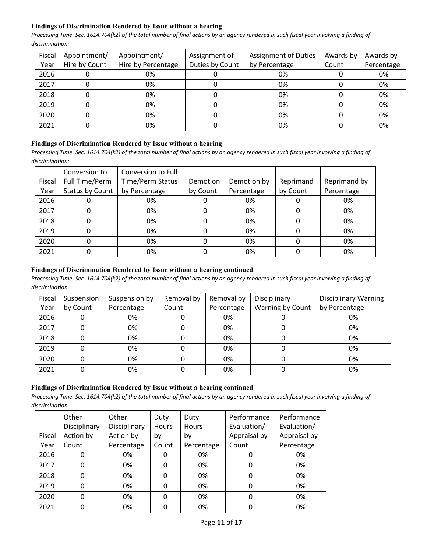# **Findings of Discrimination Rendered by Issue without a hearing**

*Processing Time. Sec. 1614.704(k2) of the total number of final actions by an agency rendered in such fiscal year involving a finding of discrimination:* 

| Fiscal | Appointment/  | Appointment/       | <b>Assignment of Duties</b><br>Assignment of |               | Awards by | Awards by  |
|--------|---------------|--------------------|----------------------------------------------|---------------|-----------|------------|
| Year   | Hire by Count | Hire by Percentage | Duties by Count                              | by Percentage | Count     | Percentage |
| 2016   |               | 0%                 | U                                            | 0%            |           | 0%         |
| 2017   |               | 0%                 |                                              | 0%            |           | 0%         |
| 2018   |               | 0%                 |                                              | 0%            |           | 0%         |
| 2019   | 0             | 0%                 |                                              | 0%            |           | 0%         |
| 2020   |               | 0%                 |                                              | 0%            |           | 0%         |
| 2021   |               | 0%                 |                                              | 0%            |           | 0%         |

# **Findings of Discrimination Rendered by Issue without a hearing**

*Processing Time. Sec. 1614.704(k2) of the total number of final actions by an agency rendered in such fiscal year involving a finding of discrimination:* 

|        | Conversion to   | Conversion to Full      |          |             |           |              |
|--------|-----------------|-------------------------|----------|-------------|-----------|--------------|
| Fiscal | Full Time/Perm  | <b>Time/Perm Status</b> | Demotion | Demotion by | Reprimand | Reprimand by |
| Year   | Status by Count | by Percentage           | by Count | Percentage  | by Count  | Percentage   |
| 2016   |                 | 0%                      |          | 0%          |           | 0%           |
| 2017   |                 | 0%                      |          | 0%          |           | 0%           |
| 2018   |                 | 0%                      |          | 0%          |           | 0%           |
| 2019   |                 | 0%                      |          | 0%          |           | 0%           |
| 2020   |                 | 0%                      |          | 0%          |           | 0%           |
| 2021   |                 | 0%                      |          | 0%          |           | 0%           |

## **Findings of Discrimination Rendered by Issue without a hearing continued**

*Processing Time. Sec. 1614.704(k2) of the total number of final actions by an agency rendered in such fiscal year involving a finding of discrimination*

| Fiscal | Suspension | Suspension by | Removal by | Removal by | Disciplinary     | <b>Disciplinary Warning</b> |
|--------|------------|---------------|------------|------------|------------------|-----------------------------|
| Year   | by Count   | Percentage    | Count      | Percentage | Warning by Count | by Percentage               |
| 2016   |            | 0%            |            | 0%         |                  | 0%                          |
| 2017   |            | 0%            |            | 0%         |                  | 0%                          |
| 2018   |            | 0%            |            | 0%         |                  | 0%                          |
| 2019   |            | 0%            |            | 0%         |                  | 0%                          |
| 2020   | 0          | 0%            |            | 0%         | 0                | 0%                          |
| 2021   |            | 0%            |            | 0%         |                  | 0%                          |

#### **Findings of Discrimination Rendered by Issue without a hearing continued**

|        | Other<br>Disciplinary | Other<br>Disciplinary | Duty<br><b>Hours</b> | Duty<br><b>Hours</b> | Performance<br>Evaluation/ | Performance<br>Evaluation/ |
|--------|-----------------------|-----------------------|----------------------|----------------------|----------------------------|----------------------------|
| Fiscal | Action by             | Action by             | bγ                   | by                   | Appraisal by               | Appraisal by               |
| Year   | Count                 | Percentage            | Count                | Percentage           | Count                      | Percentage                 |
| 2016   | 0                     | 0%                    |                      | 0%                   |                            | 0%                         |
| 2017   | 0                     | 0%                    | 0                    | 0%                   |                            | 0%                         |
| 2018   | 0                     | 0%                    | 0                    | 0%                   | 0                          | 0%                         |
| 2019   | 0                     | 0%                    | 0                    | 0%                   |                            | 0%                         |
| 2020   | 0                     | 0%                    | 0                    | 0%                   | 0                          | 0%                         |
|        |                       |                       |                      |                      |                            |                            |
| 2021   | 0                     | 0%                    |                      | 0%                   |                            | 0%                         |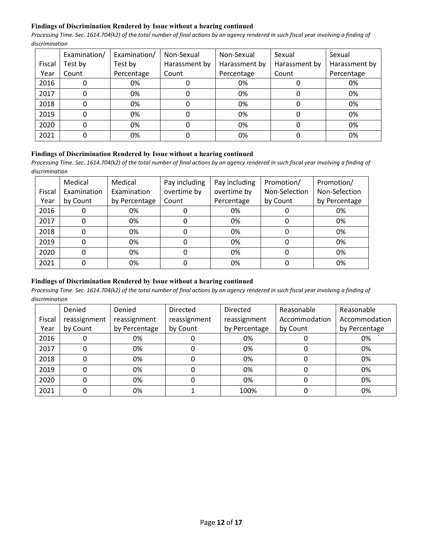## **Findings of Discrimination Rendered by Issue without a hearing continued**

*Processing Time. Sec. 1614.704(k2) of the total number of final actions by an agency rendered in such fiscal year involving a finding of discrimination*

|        | Examination/ | Examination/ | Non-Sexual    | Non-Sexual    | Sexual        | Sexual        |
|--------|--------------|--------------|---------------|---------------|---------------|---------------|
| Fiscal | Test by      | Test by      | Harassment by | Harassment by | Harassment by | Harassment by |
| Year   | Count        | Percentage   | Count         | Percentage    | Count         | Percentage    |
| 2016   |              | 0%           |               | 0%            |               | 0%            |
| 2017   |              | 0%           |               | 0%            |               | 0%            |
| 2018   | 0            | 0%           | 0             | 0%            |               | 0%            |
| 2019   |              | 0%           |               | 0%            |               | 0%            |
| 2020   |              | 0%           |               | 0%            |               | 0%            |
| 2021   |              | 0%           |               | 0%            |               | 0%            |

#### **Findings of Discrimination Rendered by Issue without a hearing continued**

*Processing Time. Sec. 1614.704(k2) of the total number of final actions by an agency rendered in such fiscal year involving a finding of discrimination*

|        | Medical     | Medical       | Pay including | Pay including | Promotion/    | Promotion/    |
|--------|-------------|---------------|---------------|---------------|---------------|---------------|
| Fiscal | Examination | Examination   | overtime by   | overtime by   | Non-Selection | Non-Selection |
| Year   | by Count    | by Percentage | Count         | Percentage    | by Count      | by Percentage |
| 2016   |             | 0%            |               | 0%            |               | 0%            |
| 2017   |             | 0%            |               | 0%            | 0             | 0%            |
| 2018   |             | 0%            | 0             | 0%            | 0             | 0%            |
| 2019   |             | 0%            |               | 0%            | 0             | 0%            |
| 2020   |             | 0%            |               | 0%            | 0             | 0%            |
| 2021   |             | 0%            |               | 0%            |               | 0%            |

# **Findings of Discrimination Rendered by Issue without a hearing continued**

|        | Denied       | Denied        | <b>Directed</b> | Directed      | Reasonable    | Reasonable    |
|--------|--------------|---------------|-----------------|---------------|---------------|---------------|
| Fiscal | reassignment | reassignment  | reassignment    | reassignment  | Accommodation | Accommodation |
| Year   | by Count     | by Percentage | by Count        | by Percentage | by Count      | by Percentage |
| 2016   | 0            | 0%            |                 | 0%            |               | 0%            |
| 2017   | 0            | 0%            |                 | 0%            | 0             | 0%            |
| 2018   | 0            | 0%            |                 | 0%            |               | 0%            |
| 2019   | 0            | 0%            |                 | 0%            |               | 0%            |
| 2020   | 0            | 0%            |                 | 0%            |               | 0%            |
| 2021   | 0            | 0%            |                 | 100%          |               | 0%            |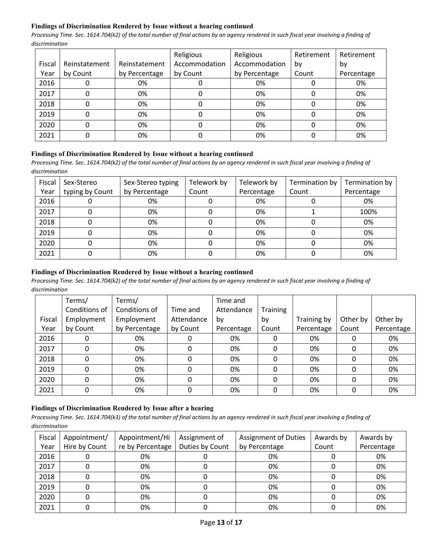## **Findings of Discrimination Rendered by Issue without a hearing continued**

*Processing Time. Sec. 1614.704(k2) of the total number of final actions by an agency rendered in such fiscal year involving a finding of discrimination*

|        |               |               | Religious     | Religious     | Retirement | Retirement |
|--------|---------------|---------------|---------------|---------------|------------|------------|
| Fiscal | Reinstatement | Reinstatement | Accommodation | Accommodation | bv         | by         |
| Year   | by Count      | by Percentage | by Count      | by Percentage | Count      | Percentage |
| 2016   |               | 0%            |               | 0%            |            | 0%         |
| 2017   |               | 0%            |               | 0%            |            | 0%         |
| 2018   |               | 0%            |               | 0%            |            | 0%         |
| 2019   |               | 0%            |               | 0%            |            | 0%         |
| 2020   |               | 0%            |               | 0%            |            | 0%         |
| 2021   |               | 0%            |               | 0%            |            | 0%         |

#### **Findings of Discrimination Rendered by Issue without a hearing continued**

*Processing Time. Sec. 1614.704(k2) of the total number of final actions by an agency rendered in such fiscal year involving a finding of discrimination*

| Fiscal | Sex-Stereo      | Sex-Stereo typing | Telework by | Telework by | Termination by | Termination by |
|--------|-----------------|-------------------|-------------|-------------|----------------|----------------|
| Year   | typing by Count | by Percentage     | Count       | Percentage  | Count          | Percentage     |
| 2016   |                 | 0%                |             | 0%          |                | 0%             |
| 2017   |                 | 0%                |             | 0%          |                | 100%           |
| 2018   |                 | 0%                |             | 0%          |                | 0%             |
| 2019   |                 | 0%                |             | 0%          |                | 0%             |
| 2020   |                 | 0%                |             | 0%          |                | 0%             |
| 2021   |                 | 0%                |             | 0%          |                | 0%             |

## **Findings of Discrimination Rendered by Issue without a hearing continued**

*Processing Time. Sec. 1614.704(k2) of the total number of final actions by an agency rendered in such fiscal year involving a finding of discrimination*

|        | Terms/        | Terms/        |            | Time and   |          |             |          |            |
|--------|---------------|---------------|------------|------------|----------|-------------|----------|------------|
|        | Conditions of | Conditions of | Time and   | Attendance | Training |             |          |            |
| Fiscal | Employment    | Employment    | Attendance | by         | by       | Training by | Other by | Other by   |
| Year   | by Count      | by Percentage | by Count   | Percentage | Count    | Percentage  | Count    | Percentage |
| 2016   | 0             | 0%            | 0          | 0%         |          | 0%          | 0        | 0%         |
| 2017   | 0             | 0%            | 0          | 0%         | 0        | 0%          | 0        | 0%         |
| 2018   | 0             | 0%            | 0          | 0%         | 0        | 0%          | 0        | 0%         |
| 2019   | 0             | 0%            | 0          | 0%         | 0        | 0%          | 0        | 0%         |
| 2020   | 0             | 0%            | 0          | 0%         | 0        | 0%          | 0        | 0%         |
| 2021   | 0             | 0%            | 0          | 0%         | 0        | 0%          | 0        | 0%         |

# **Findings of Discrimination Rendered by Issue after a hearing**

| Fiscal | Appointment/  | Appointment/Hi   | Assignment of   | <b>Assignment of Duties</b> | Awards by | Awards by  |
|--------|---------------|------------------|-----------------|-----------------------------|-----------|------------|
| Year   | Hire by Count | re by Percentage | Duties by Count | by Percentage               | Count     | Percentage |
| 2016   |               | 0%               |                 | 0%                          |           | 0%         |
| 2017   |               | 0%               |                 | 0%                          |           | 0%         |
| 2018   |               | 0%               |                 | 0%                          |           | 0%         |
| 2019   |               | 0%               |                 | 0%                          |           | 0%         |
| 2020   |               | 0%               |                 | 0%                          |           | 0%         |
| 2021   |               | 0%               |                 | 0%                          |           | 0%         |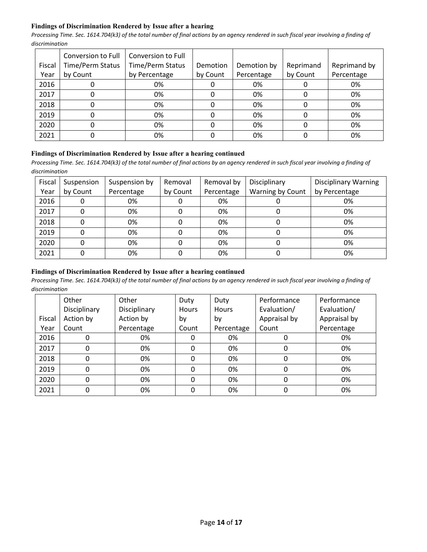## **Findings of Discrimination Rendered by Issue after a hearing**

*Processing Time. Sec. 1614.704(k3) of the total number of final actions by an agency rendered in such fiscal year involving a finding of discrimination*

|        | Conversion to Full      | Conversion to Full |          |             |           |              |
|--------|-------------------------|--------------------|----------|-------------|-----------|--------------|
| Fiscal | <b>Time/Perm Status</b> | Time/Perm Status   | Demotion | Demotion by | Reprimand | Reprimand by |
| Year   | by Count                | by Percentage      | by Count | Percentage  | by Count  | Percentage   |
| 2016   | υ                       | 0%                 | υ        | 0%          |           | 0%           |
| 2017   | 0                       | 0%                 | 0        | 0%          |           | 0%           |
| 2018   | 0                       | 0%                 | 0        | 0%          |           | 0%           |
| 2019   | 0                       | 0%                 | 0        | 0%          |           | 0%           |
| 2020   | 0                       | 0%                 | 0        | 0%          |           | 0%           |
| 2021   | 0                       | 0%                 |          | 0%          |           | 0%           |

# **Findings of Discrimination Rendered by Issue after a hearing continued**

Processing Time. Sec. 1614.704(k3) of the total number of final actions by an agency rendered in such fiscal year involving a finding of *discrimination*

| Fiscal<br>Year | Suspension<br>by Count | Suspension by<br>Percentage | Removal<br>by Count | Removal by<br>Percentage | Disciplinary<br>Warning by Count | <b>Disciplinary Warning</b><br>by Percentage |
|----------------|------------------------|-----------------------------|---------------------|--------------------------|----------------------------------|----------------------------------------------|
| 2016           | 0                      | 0%                          |                     | 0%                       |                                  | 0%                                           |
| 2017           | 0                      | 0%                          |                     | 0%                       |                                  | 0%                                           |
| 2018           |                        | 0%                          |                     | 0%                       |                                  | 0%                                           |
| 2019           | 0                      | 0%                          |                     | 0%                       |                                  | 0%                                           |
| 2020           | 0                      | 0%                          |                     | 0%                       |                                  | 0%                                           |
| 2021           | 0                      | 0%                          |                     | 0%                       |                                  | 0%                                           |

## **Findings of Discrimination Rendered by Issue after a hearing continued**

|        | Other        | Other        | Duty         | Duty         | Performance  | Performance  |
|--------|--------------|--------------|--------------|--------------|--------------|--------------|
|        | Disciplinary | Disciplinary | <b>Hours</b> | <b>Hours</b> | Evaluation/  | Evaluation/  |
| Fiscal | Action by    | Action by    | by           | by           | Appraisal by | Appraisal by |
| Year   | Count        | Percentage   | Count        | Percentage   | Count        | Percentage   |
| 2016   |              | 0%           | 0            | 0%           |              | 0%           |
| 2017   |              | 0%           | 0            | 0%           | 0            | 0%           |
| 2018   | $\Omega$     | 0%           | 0            | 0%           | 0            | 0%           |
| 2019   | $\Omega$     | 0%           | 0            | 0%           | 0            | 0%           |
| 2020   |              | 0%           | 0            | 0%           | 0            | 0%           |
| 2021   | 0            | 0%           | 0            | 0%           |              | 0%           |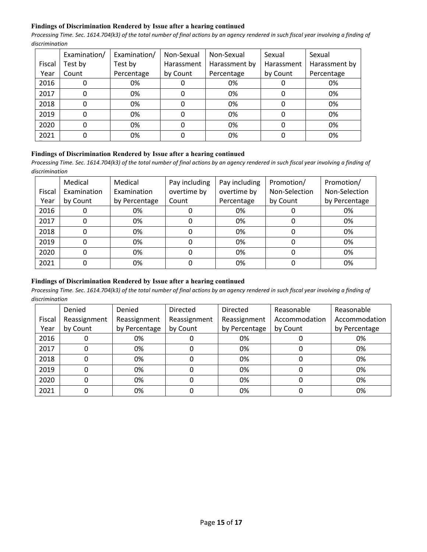## **Findings of Discrimination Rendered by Issue after a hearing continued**

*Processing Time. Sec. 1614.704(k3) of the total number of final actions by an agency rendered in such fiscal year involving a finding of discrimination*

|        | Examination/ | Examination/ | Non-Sexual | Non-Sexual    | Sexual     | Sexual        |
|--------|--------------|--------------|------------|---------------|------------|---------------|
| Fiscal | Test by      | Test by      | Harassment | Harassment by | Harassment | Harassment by |
| Year   | Count        | Percentage   | by Count   | Percentage    | by Count   | Percentage    |
| 2016   |              | 0%           |            | 0%            |            | 0%            |
| 2017   |              | 0%           |            | 0%            |            | 0%            |
| 2018   |              | 0%           |            | 0%            |            | 0%            |
| 2019   |              | 0%           |            | 0%            |            | 0%            |
| 2020   |              | 0%           |            | 0%            |            | 0%            |
| 2021   |              | 0%           |            | 0%            |            | 0%            |

#### **Findings of Discrimination Rendered by Issue after a hearing continued**

*Processing Time. Sec. 1614.704(k3) of the total number of final actions by an agency rendered in such fiscal year involving a finding of discrimination*

|        | Medical     | Medical       | Pay including | Pay including | Promotion/    | Promotion/    |
|--------|-------------|---------------|---------------|---------------|---------------|---------------|
| Fiscal | Examination | Examination   | overtime by   | overtime by   | Non-Selection | Non-Selection |
| Year   | by Count    | by Percentage | Count         | Percentage    | by Count      | by Percentage |
| 2016   |             | 0%            |               | 0%            |               | 0%            |
| 2017   |             | 0%            |               | 0%            |               | 0%            |
| 2018   |             | 0%            | 0             | 0%            | 0             | 0%            |
| 2019   |             | 0%            | 0             | 0%            | 0             | 0%            |
| 2020   |             | 0%            | 0             | 0%            | 0             | 0%            |
| 2021   |             | 0%            |               | 0%            |               | 0%            |

# **Findings of Discrimination Rendered by Issue after a hearing continued**

|        | Denied       | Denied        | <b>Directed</b> | Directed      | Reasonable    | Reasonable    |
|--------|--------------|---------------|-----------------|---------------|---------------|---------------|
| Fiscal | Reassignment | Reassignment  | Reassignment    | Reassignment  | Accommodation | Accommodation |
| Year   | by Count     | by Percentage | by Count        | by Percentage | by Count      | by Percentage |
| 2016   |              | 0%            |                 | 0%            |               | 0%            |
| 2017   |              | 0%            |                 | 0%            |               | 0%            |
| 2018   |              | 0%            |                 | 0%            |               | 0%            |
| 2019   |              | 0%            |                 | 0%            | O             | 0%            |
| 2020   |              | 0%            |                 | 0%            |               | 0%            |
| 2021   |              | 0%            |                 | 0%            |               | 0%            |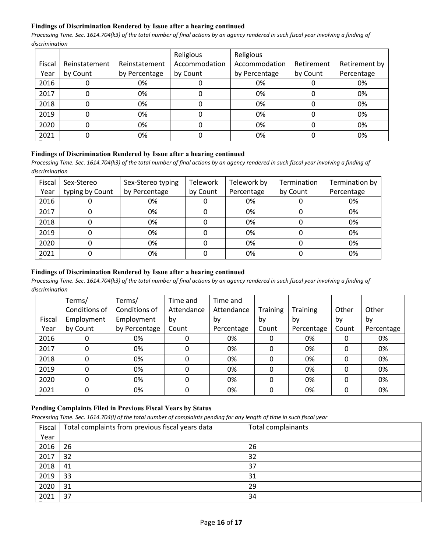## **Findings of Discrimination Rendered by Issue after a hearing continued**

*Processing Time. Sec. 1614.704(k3) of the total number of final actions by an agency rendered in such fiscal year involving a finding of discrimination*

|        |               |               | Religious     | Religious     |            |               |
|--------|---------------|---------------|---------------|---------------|------------|---------------|
| Fiscal | Reinstatement | Reinstatement | Accommodation | Accommodation | Retirement | Retirement by |
| Year   | by Count      | by Percentage | by Count      | by Percentage | by Count   | Percentage    |
| 2016   |               | 0%            |               | 0%            |            | 0%            |
| 2017   |               | 0%            |               | 0%            |            | 0%            |
| 2018   |               | 0%            |               | 0%            |            | 0%            |
| 2019   |               | 0%            |               | 0%            |            | 0%            |
| 2020   |               | 0%            |               | 0%            |            | 0%            |
| 2021   |               | 0%            |               | 0%            |            | 0%            |

#### **Findings of Discrimination Rendered by Issue after a hearing continued**

*Processing Time. Sec. 1614.704(k3) of the total number of final actions by an agency rendered in such fiscal year involving a finding of discrimination*

| Fiscal | Sex-Stereo      | Sex-Stereo typing | Telework | Telework by | Termination | Termination by |
|--------|-----------------|-------------------|----------|-------------|-------------|----------------|
| Year   | typing by Count | by Percentage     | by Count | Percentage  | by Count    | Percentage     |
| 2016   |                 | 0%                |          | 0%          |             | 0%             |
| 2017   |                 | 0%                |          | 0%          |             | 0%             |
| 2018   |                 | 0%                |          | 0%          |             | 0%             |
| 2019   |                 | 0%                |          | 0%          |             | 0%             |
| 2020   |                 | 0%                |          | 0%          |             | 0%             |
| 2021   |                 | 0%                |          | 0%          |             | 0%             |

## **Findings of Discrimination Rendered by Issue after a hearing continued**

*Processing Time. Sec. 1614.704(k3) of the total number of final actions by an agency rendered in such fiscal year involving a finding of discrimination*

|        | Terms/        | Terms/        | Time and   | Time and   |          |                 |       |            |
|--------|---------------|---------------|------------|------------|----------|-----------------|-------|------------|
|        | Conditions of | Conditions of | Attendance | Attendance | Training | <b>Training</b> | Other | Other      |
| Fiscal | Employment    | Employment    | by         | bv         | by       | by              | by    | by         |
| Year   | by Count      | by Percentage | Count      | Percentage | Count    | Percentage      | Count | Percentage |
| 2016   | 0             | 0%            |            | 0%         | 0        | 0%              |       | 0%         |
| 2017   | 0             | 0%            | 0          | 0%         | $\Omega$ | 0%              | 0     | 0%         |
| 2018   | 0             | 0%            | O          | 0%         | 0        | 0%              |       | 0%         |
| 2019   | 0             | 0%            | 0          | 0%         | 0        | 0%              |       | 0%         |
| 2020   | 0             | 0%            | 0          | 0%         | 0        | 0%              |       | 0%         |
| 2021   | 0             | 0%            | 0          | 0%         | $\Omega$ | 0%              |       | 0%         |

# **Pending Complaints Filed in Previous Fiscal Years by Status**

*Processing Time. Sec. 1614.704(l) of the total number of complaints pending for any length of time in such fiscal year*

| Fiscal | Total complaints from previous fiscal years data | Total complainants |
|--------|--------------------------------------------------|--------------------|
| Year   |                                                  |                    |
| 2016   | 26                                               | 26                 |
| 2017   | 32                                               | 32                 |
| 2018   | 41                                               | 37                 |
| 2019   | 33                                               | 31                 |
| 2020   | 31                                               | 29                 |
| 2021   | 37                                               | 34                 |